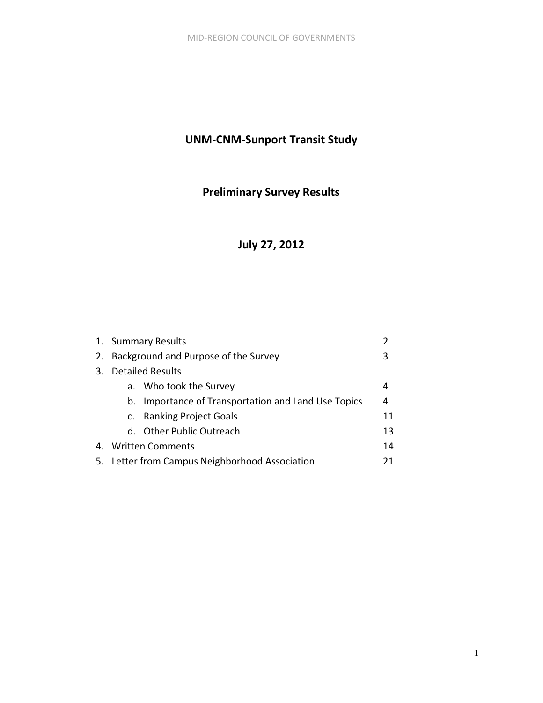# **UNM‐CNM‐Sunport Transit Study**

# **Preliminary Survey Results**

# **July 27, 2012**

|    |    | 1. Summary Results                               | $\mathcal{P}$ |
|----|----|--------------------------------------------------|---------------|
|    |    | 2. Background and Purpose of the Survey          | 3             |
| 3. |    | <b>Detailed Results</b>                          |               |
|    |    | a. Who took the Survey                           | 4             |
|    | b. | Importance of Transportation and Land Use Topics | 4             |
|    |    | c. Ranking Project Goals                         | 11            |
|    |    | d. Other Public Outreach                         | 13            |
| 4. |    | Written Comments                                 | 14            |
|    |    | 5. Letter from Campus Neighborhood Association   | 21            |
|    |    |                                                  |               |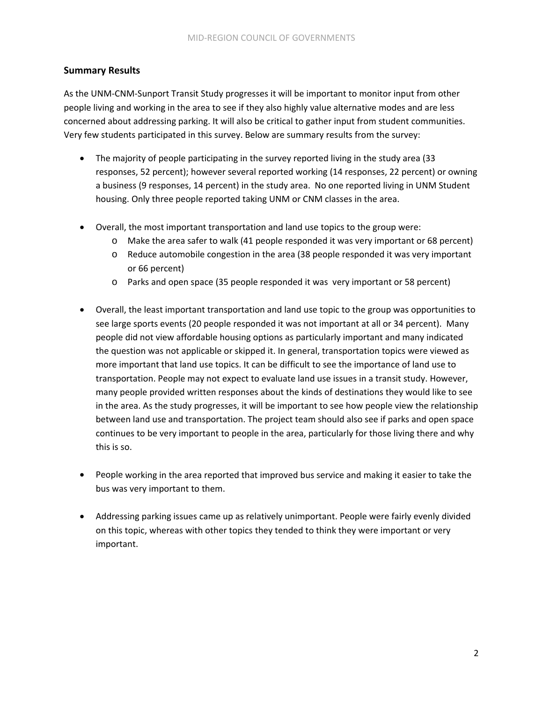# **Summary Results**

As the UNM‐CNM‐Sunport Transit Study progresses it will be important to monitor input from other people living and working in the area to see if they also highly value alternative modes and are less concerned about addressing parking. It will also be critical to gather input from student communities. Very few students participated in this survey. Below are summary results from the survey:

- The majority of people participating in the survey reported living in the study area (33 responses, 52 percent); however several reported working (14 responses, 22 percent) or owning a business (9 responses, 14 percent) in the study area. No one reported living in UNM Student housing. Only three people reported taking UNM or CNM classes in the area.
- Overall, the most important transportation and land use topics to the group were:
	- o Make the area safer to walk (41 people responded it was very important or 68 percent)
	- o Reduce automobile congestion in the area (38 people responded it was very important or 66 percent)
	- o Parks and open space (35 people responded it was very important or 58 percent)
- Overall, the least important transportation and land use topic to the group was opportunities to see large sports events (20 people responded it was not important at all or 34 percent). Many people did not view affordable housing options as particularly important and many indicated the question was not applicable or skipped it. In general, transportation topics were viewed as more important that land use topics. It can be difficult to see the importance of land use to transportation. People may not expect to evaluate land use issues in a transit study. However, many people provided written responses about the kinds of destinations they would like to see in the area. As the study progresses, it will be important to see how people view the relationship between land use and transportation. The project team should also see if parks and open space continues to be very important to people in the area, particularly for those living there and why this is so.
- People working in the area reported that improved bus service and making it easier to take the bus was very important to them.
- Addressing parking issues came up as relatively unimportant. People were fairly evenly divided on this topic, whereas with other topics they tended to think they were important or very important.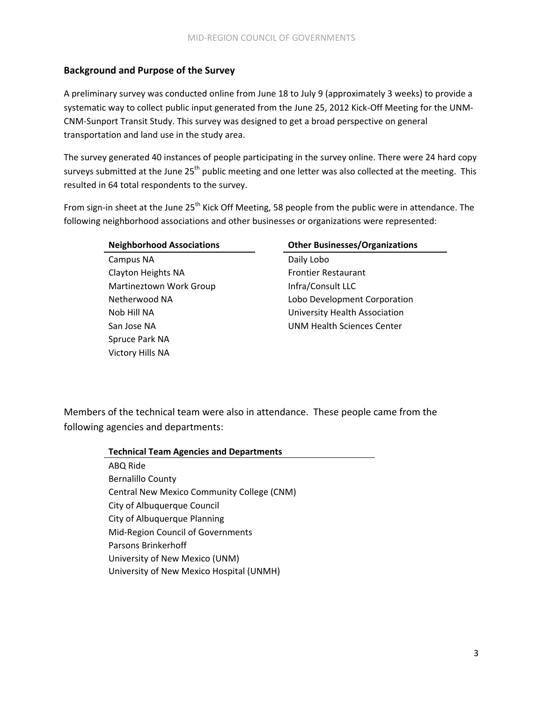# **Background and Purpose of the Survey**

A preliminary survey was conducted online from June 18 to July 9 (approximately 3 weeks) to provide a systematic way to collect public input generated from the June 25, 2012 Kick-Off Meeting for the UNM-CNM‐Sunport Transit Study. This survey was designed to get a broad perspective on general transportation and land use in the study area.

The survey generated 40 instances of people participating in the survey online. There were 24 hard copy surveys submitted at the June 25<sup>th</sup> public meeting and one letter was also collected at the meeting. This resulted in 64 total respondents to the survey.

From sign-in sheet at the June 25<sup>th</sup> Kick Off Meeting, 58 people from the public were in attendance. The following neighborhood associations and other businesses or organizations were represented:

Campus NA Daily Lobo Clayton Heights NA Frontier Restaurant Martineztown Work Group Infra/Consult LLC Spruce Park NA Victory Hills NA

#### **Neighborhood Associations Other Businesses/Organizations**

Netherwood NA Lobo Development Corporation Nob Hill NA University Health Association San Jose NA **UNM Health Sciences Center** 

Members of the technical team were also in attendance. These people came from the following agencies and departments:

| <b>Technical Team Agencies and Departments</b> |
|------------------------------------------------|
| ABQ Ride                                       |
| <b>Bernalillo County</b>                       |
| Central New Mexico Community College (CNM)     |
| City of Albuquerque Council                    |
| City of Albuquerque Planning                   |
| Mid-Region Council of Governments              |
| Parsons Brinkerhoff                            |
| University of New Mexico (UNM)                 |
| University of New Mexico Hospital (UNMH)       |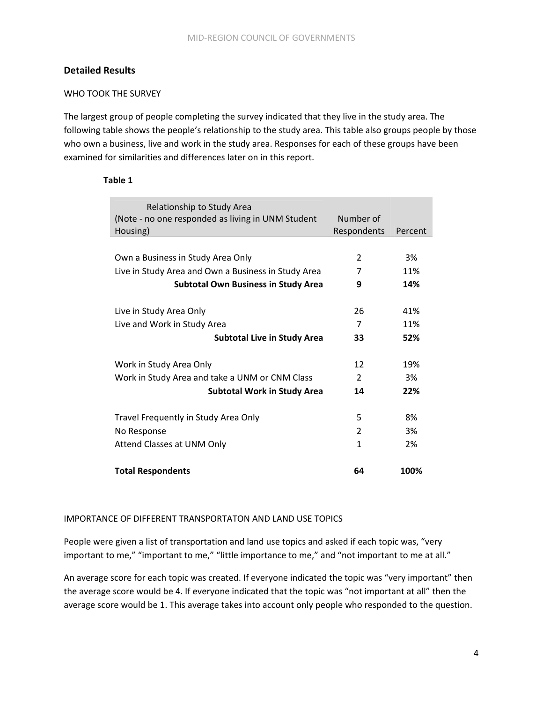## **Detailed Results**

#### WHO TOOK THE SURVEY

The largest group of people completing the survey indicated that they live in the study area. The following table shows the people's relationship to the study area. This table also groups people by those who own a business, live and work in the study area. Responses for each of these groups have been examined for similarities and differences later on in this report.

#### **Table 1**

| Relationship to Study Area                          |                |         |
|-----------------------------------------------------|----------------|---------|
| (Note - no one responded as living in UNM Student   | Number of      |         |
| Housing)                                            | Respondents    | Percent |
|                                                     |                |         |
| Own a Business in Study Area Only                   | $\overline{2}$ | 3%      |
| Live in Study Area and Own a Business in Study Area | 7              | 11%     |
| <b>Subtotal Own Business in Study Area</b>          | 9              | 14%     |
|                                                     |                |         |
| Live in Study Area Only                             | 26             | 41%     |
| Live and Work in Study Area                         | 7              | 11%     |
| <b>Subtotal Live in Study Area</b>                  | 33             | 52%     |
|                                                     |                |         |
| Work in Study Area Only                             | 12             | 19%     |
| Work in Study Area and take a UNM or CNM Class      | $\overline{2}$ | 3%      |
| <b>Subtotal Work in Study Area</b>                  | 14             | 22%     |
|                                                     |                |         |
| Travel Frequently in Study Area Only                | 5              | 8%      |
| No Response                                         | $\mathcal{P}$  | 3%      |
| Attend Classes at UNM Only                          | 1              | 2%      |
|                                                     |                |         |
| <b>Total Respondents</b>                            | 64             | 100%    |

#### IMPORTANCE OF DIFFERENT TRANSPORTATON AND LAND USE TOPICS

People were given a list of transportation and land use topics and asked if each topic was, "very important to me," "important to me," "little importance to me," and "not important to me at all."

An average score for each topic was created. If everyone indicated the topic was "very important" then the average score would be 4. If everyone indicated that the topic was "not important at all" then the average score would be 1. This average takes into account only people who responded to the question.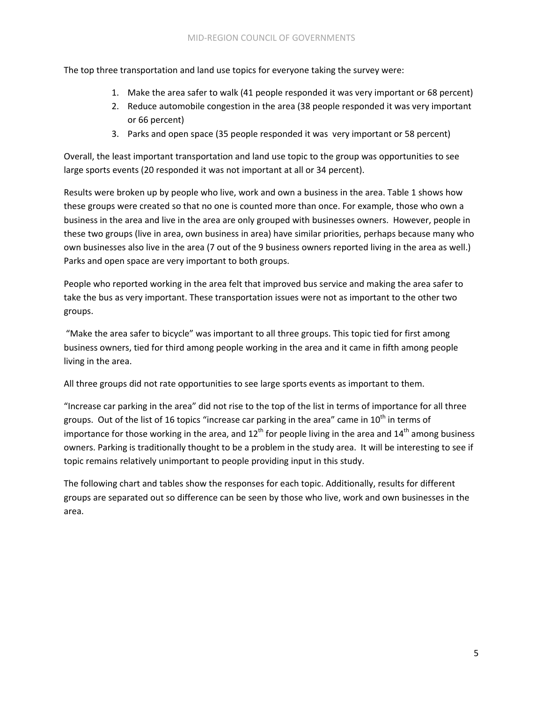The top three transportation and land use topics for everyone taking the survey were:

- 1. Make the area safer to walk (41 people responded it was very important or 68 percent)
- 2. Reduce automobile congestion in the area (38 people responded it was very important or 66 percent)
- 3. Parks and open space (35 people responded it was very important or 58 percent)

Overall, the least important transportation and land use topic to the group was opportunities to see large sports events (20 responded it was not important at all or 34 percent).

Results were broken up by people who live, work and own a business in the area. Table 1 shows how these groups were created so that no one is counted more than once. For example, those who own a business in the area and live in the area are only grouped with businesses owners. However, people in these two groups (live in area, own business in area) have similar priorities, perhaps because many who own businesses also live in the area (7 out of the 9 business owners reported living in the area as well.) Parks and open space are very important to both groups.

People who reported working in the area felt that improved bus service and making the area safer to take the bus as very important. These transportation issues were not as important to the other two groups.

"Make the area safer to bicycle" was important to all three groups. This topic tied for first among business owners, tied for third among people working in the area and it came in fifth among people living in the area.

All three groups did not rate opportunities to see large sports events as important to them.

"Increase car parking in the area" did not rise to the top of the list in terms of importance for all three groups. Out of the list of 16 topics "increase car parking in the area" came in  $10^{th}$  in terms of importance for those working in the area, and  $12^{th}$  for people living in the area and  $14^{th}$  among business owners. Parking is traditionally thought to be a problem in the study area. It will be interesting to see if topic remains relatively unimportant to people providing input in this study.

The following chart and tables show the responses for each topic. Additionally, results for different groups are separated out so difference can be seen by those who live, work and own businesses in the area.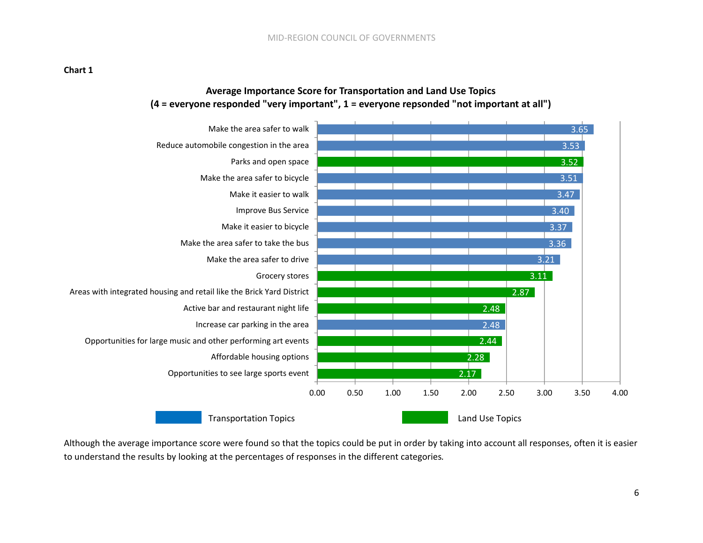# **Average Importance Score for Transportation and Land Use Topics (4 <sup>=</sup> everyone responded "very important", 1 <sup>=</sup> everyone repsonded "not important at all")**



Although the average importance score were found so that the topics could be put in order by taking into account all responses, often it is easier to understand the results by looking at the percentages of responses in the different categories*.*

#### **Chart 1**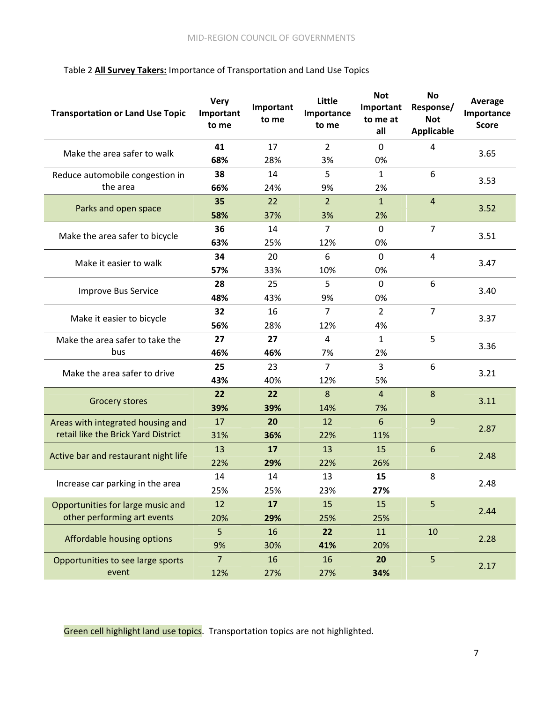# Table 2 **All Survey Takers:** Importance of Transportation and Land Use Topics

| <b>Transportation or Land Use Topic</b> | <b>Very</b><br>Important<br>to me | Important<br>to me | Little<br>Importance<br>to me | <b>Not</b><br>Important<br>to me at<br>all | <b>No</b><br>Response/<br><b>Not</b><br><b>Applicable</b> | <b>Average</b><br>Importance<br><b>Score</b> |  |
|-----------------------------------------|-----------------------------------|--------------------|-------------------------------|--------------------------------------------|-----------------------------------------------------------|----------------------------------------------|--|
| Make the area safer to walk             | 41                                | 17                 | $\overline{2}$                | $\mathbf 0$                                | 4                                                         | 3.65                                         |  |
|                                         | 68%                               | 28%                | 3%                            | 0%                                         |                                                           |                                              |  |
| Reduce automobile congestion in         | 38                                | 14                 | 5                             | $\mathbf{1}$                               | 6                                                         | 3.53                                         |  |
| the area                                | 66%                               | 24%                | 9%                            | 2%                                         |                                                           |                                              |  |
| Parks and open space                    | 35                                | 22                 | $\overline{2}$                | $\mathbf{1}$                               | $\overline{4}$                                            | 3.52                                         |  |
|                                         | 58%                               | 37%                | 3%                            | 2%                                         |                                                           |                                              |  |
| Make the area safer to bicycle          | 36                                | 14                 | $\overline{7}$                | $\Omega$                                   | $\overline{7}$                                            | 3.51                                         |  |
|                                         | 63%                               | 25%                | 12%                           | 0%                                         |                                                           |                                              |  |
| Make it easier to walk                  | 34                                | 20                 | 6                             | $\mathbf 0$                                | 4                                                         |                                              |  |
|                                         | 57%                               | 33%                | 10%                           | 0%                                         |                                                           | 3.47                                         |  |
|                                         | 28                                | 25                 | 5                             | $\mathbf 0$                                | 6                                                         |                                              |  |
| Improve Bus Service                     | 48%                               | 43%                | 9%                            | 0%                                         |                                                           | 3.40                                         |  |
| Make it easier to bicycle               | 32                                | 16                 | $\overline{7}$                | $\overline{2}$                             | $\overline{7}$                                            | 3.37                                         |  |
|                                         | 56%                               | 28%                | 12%                           | 4%                                         |                                                           |                                              |  |
| Make the area safer to take the         | 27                                | 27                 | $\overline{4}$                | $\mathbf{1}$                               | 5                                                         | 3.36                                         |  |
| bus                                     | 46%                               | 46%                | 7%                            | 2%                                         |                                                           |                                              |  |
| Make the area safer to drive            | 25                                | 23                 | $\overline{7}$                | 3                                          | 6                                                         | 3.21                                         |  |
|                                         | 43%                               | 40%                | 12%                           | 5%                                         |                                                           |                                              |  |
| <b>Grocery stores</b>                   | 22                                | 22                 | 8                             | $\overline{4}$                             | 8                                                         | 3.11                                         |  |
|                                         | 39%                               | 39%                | 14%                           | 7%                                         |                                                           |                                              |  |
| Areas with integrated housing and       | 17                                | 20                 | 12                            | 6                                          | 9                                                         | 2.87                                         |  |
| retail like the Brick Yard District     | 31%                               | 36%                | 22%                           | 11%                                        |                                                           |                                              |  |
|                                         | 13                                | 17                 | 13                            | 15                                         | 6                                                         | 2.48                                         |  |
| Active bar and restaurant night life    | 22%                               | 29%                | 22%                           | 26%                                        |                                                           |                                              |  |
| Increase car parking in the area        | 14                                | 14                 | 13                            | 15                                         | 8                                                         |                                              |  |
|                                         | 25%                               | 25%                | 23%                           | 27%                                        |                                                           | 2.48                                         |  |
| Opportunities for large music and       | 12                                | 17                 | 15                            | 15                                         | 5                                                         | 2.44                                         |  |
| other performing art events             | 20%                               | 29%                | 25%                           | 25%                                        |                                                           |                                              |  |
|                                         | 5                                 | 16                 | 22                            | 11                                         | 10                                                        | 2.28                                         |  |
| Affordable housing options              | 9%                                | 30%                | 41%                           | 20%                                        |                                                           |                                              |  |
| Opportunities to see large sports       | 7                                 | 16                 | 16                            | 20                                         | 5                                                         | 2.17                                         |  |
| event                                   | 12%                               | 27%                | 27%                           | 34%                                        |                                                           |                                              |  |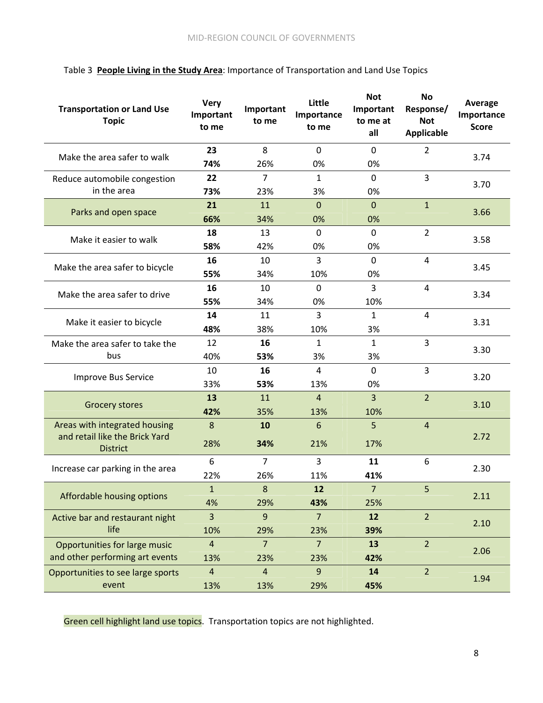| <b>Transportation or Land Use</b><br><b>Topic</b> | <b>Very</b><br>Important<br>to me | Important<br>to me | Little<br>Importance<br>to me | <b>Not</b><br>Important<br>to me at<br>all | No<br>Response/<br><b>Not</b><br><b>Applicable</b> | <b>Average</b><br>Importance<br><b>Score</b> |  |
|---------------------------------------------------|-----------------------------------|--------------------|-------------------------------|--------------------------------------------|----------------------------------------------------|----------------------------------------------|--|
| Make the area safer to walk                       | 23                                | 8                  | $\mathbf 0$                   | $\mathbf 0$                                | $\overline{2}$                                     | 3.74                                         |  |
|                                                   | 74%                               | 26%                | 0%                            | 0%                                         |                                                    |                                              |  |
| Reduce automobile congestion                      | 22                                | $\overline{7}$     | $\mathbf{1}$                  | $\mathbf 0$                                | 3                                                  | 3.70                                         |  |
| in the area                                       | 73%                               | 23%                | 3%                            | 0%                                         |                                                    |                                              |  |
| Parks and open space                              | 21                                | 11                 | $\mathbf{0}$                  | $\mathbf{0}$                               | $\overline{1}$                                     | 3.66                                         |  |
|                                                   | 66%                               | 34%                | 0%                            | 0%                                         |                                                    |                                              |  |
| Make it easier to walk                            | 18                                | 13                 | $\mathbf{0}$                  | $\mathbf{0}$                               | $\overline{2}$                                     | 3.58                                         |  |
|                                                   | 58%                               | 42%                | 0%                            | 0%                                         |                                                    |                                              |  |
| Make the area safer to bicycle                    | 16                                | 10                 | 3                             | $\mathbf{0}$                               | 4                                                  |                                              |  |
|                                                   | 55%                               | 34%                | 10%                           | 0%                                         |                                                    | 3.45                                         |  |
| Make the area safer to drive                      | 16                                | 10                 | $\mathbf 0$                   | $\overline{3}$                             | $\overline{4}$                                     | 3.34                                         |  |
|                                                   | 55%                               | 34%                | 0%                            | 10%                                        |                                                    |                                              |  |
|                                                   | 14                                | 11                 | 3                             | $\mathbf{1}$                               | $\overline{4}$                                     | 3.31                                         |  |
| Make it easier to bicycle                         | 48%                               | 38%                | 10%                           | 3%                                         |                                                    |                                              |  |
| Make the area safer to take the                   | 12                                | 16                 | 1                             | $\mathbf{1}$                               | 3                                                  | 3.30                                         |  |
| bus                                               | 40%                               | 53%                | 3%                            | 3%                                         |                                                    |                                              |  |
|                                                   | 10                                | 16                 | 4                             | $\mathbf 0$                                | 3                                                  |                                              |  |
| Improve Bus Service                               | 33%                               | 53%                | 13%                           | 0%                                         |                                                    | 3.20                                         |  |
|                                                   | 13                                | 11                 | 4                             | 3                                          | $\overline{2}$                                     |                                              |  |
| <b>Grocery stores</b>                             | 42%                               | 35%                | 13%                           | 10%                                        |                                                    | 3.10                                         |  |
| Areas with integrated housing                     | 8                                 | 10                 | 6                             | 5                                          | $\overline{4}$                                     |                                              |  |
| and retail like the Brick Yard<br><b>District</b> | 28%                               | 34%                | 21%                           | 17%                                        |                                                    | 2.72                                         |  |
|                                                   | 6                                 | $\overline{7}$     | 3                             | 11                                         | 6                                                  | 2.30                                         |  |
| Increase car parking in the area                  | 22%                               | 26%                | 11%                           | 41%                                        |                                                    |                                              |  |
| Affordable housing options                        | $\mathbf{1}$                      | 8                  | 12                            | $\overline{7}$                             | 5                                                  |                                              |  |
|                                                   | 4%                                | 29%                | 43%                           | 25%                                        |                                                    | 2.11                                         |  |
| Active bar and restaurant night                   | 3                                 | $\overline{9}$     | $\overline{7}$                | 12                                         | $\overline{2}$                                     |                                              |  |
| life                                              | 10%                               | 29%                | 23%                           | 39%                                        |                                                    | 2.10                                         |  |
| Opportunities for large music                     | $\overline{4}$                    | $\overline{7}$     | $\overline{7}$                | 13                                         | $\overline{2}$                                     |                                              |  |
| and other performing art events                   | 13%                               | 23%                | 23%                           | 42%                                        |                                                    | 2.06                                         |  |
| Opportunities to see large sports                 | $\overline{4}$                    | $\overline{4}$     | $\overline{9}$                | 14                                         | $\overline{2}$                                     |                                              |  |
| event                                             | 13%                               | 13%                | 29%                           | 45%                                        |                                                    | 1.94                                         |  |

# Table 3 **People Living in the Study Area**: Importance of Transportation and Land Use Topics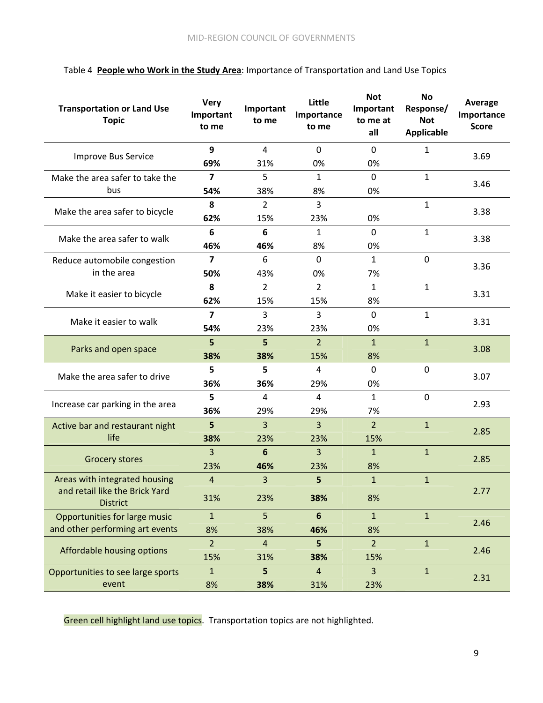| <b>Transportation or Land Use</b><br><b>Topic</b> | <b>Very</b><br>Important<br>to me | Important<br>to me | Little<br>Importance<br>to me | <b>Not</b><br>Important<br>to me at<br>all | <b>No</b><br>Response/<br><b>Not</b><br><b>Applicable</b> | <b>Average</b><br>Importance<br><b>Score</b> |  |
|---------------------------------------------------|-----------------------------------|--------------------|-------------------------------|--------------------------------------------|-----------------------------------------------------------|----------------------------------------------|--|
| <b>Improve Bus Service</b>                        | 9                                 | $\overline{4}$     | $\mathbf 0$                   | $\mathbf 0$                                | $\mathbf{1}$                                              | 3.69                                         |  |
|                                                   | 69%                               | 31%                | 0%                            | 0%                                         |                                                           |                                              |  |
| Make the area safer to take the                   | $\overline{\mathbf{z}}$           | 5                  | $\mathbf{1}$                  | $\mathbf 0$                                | $\mathbf{1}$                                              | 3.46                                         |  |
| bus                                               | 54%                               | 38%                | 8%                            | 0%                                         |                                                           |                                              |  |
| Make the area safer to bicycle                    | 8                                 | $\overline{2}$     | 3                             |                                            | $\mathbf{1}$                                              | 3.38                                         |  |
|                                                   | 62%                               | 15%                | 23%                           | 0%                                         |                                                           |                                              |  |
| Make the area safer to walk                       | 6                                 | 6                  | 1                             | $\mathbf{0}$                               | $\mathbf{1}$                                              | 3.38                                         |  |
|                                                   | 46%                               | 46%                | 8%                            | 0%                                         |                                                           |                                              |  |
| Reduce automobile congestion                      | 7                                 | 6                  | $\Omega$                      | $\mathbf{1}$                               | $\mathbf 0$                                               | 3.36                                         |  |
| in the area                                       | 50%                               | 43%                | 0%                            | 7%                                         |                                                           |                                              |  |
| Make it easier to bicycle                         | 8                                 | $\overline{2}$     | 2                             | 1                                          | $\mathbf{1}$                                              | 3.31                                         |  |
|                                                   | 62%                               | 15%                | 15%                           | 8%                                         |                                                           |                                              |  |
| Make it easier to walk                            | $\overline{\mathbf{z}}$           | 3                  | 3                             | $\mathbf 0$                                | $\mathbf{1}$                                              | 3.31                                         |  |
|                                                   | 54%                               | 23%                | 23%                           | 0%                                         |                                                           |                                              |  |
| Parks and open space                              | 5                                 | 5                  | $\overline{2}$                | $\mathbf{1}$                               | $\mathbf{1}$                                              | 3.08                                         |  |
|                                                   | 38%                               | 38%                | 15%                           | 8%                                         |                                                           |                                              |  |
| Make the area safer to drive                      | 5                                 | 5                  | 4                             | $\mathbf 0$                                | $\mathbf 0$                                               | 3.07                                         |  |
|                                                   | 36%                               | 36%                | 29%                           | 0%                                         |                                                           |                                              |  |
| Increase car parking in the area                  | 5                                 | 4                  | 4                             | $\mathbf{1}$                               | $\mathbf 0$                                               | 2.93                                         |  |
|                                                   | 36%                               | 29%                | 29%                           | 7%                                         |                                                           |                                              |  |
| Active bar and restaurant night                   | 5                                 | 3                  | 3                             | $\overline{2}$                             | $\mathbf{1}$                                              | 2.85                                         |  |
| life                                              | 38%                               | 23%                | 23%                           | 15%                                        |                                                           |                                              |  |
| <b>Grocery stores</b>                             | 3                                 | 6                  | 3                             | $\mathbf{1}$                               | $\mathbf{1}$                                              | 2.85                                         |  |
|                                                   | 23%                               | 46%                | 23%                           | 8%                                         |                                                           |                                              |  |
| Areas with integrated housing                     | $\overline{4}$                    | 3                  | 5                             | $\mathbf{1}$                               | $\mathbf{1}$                                              |                                              |  |
| and retail like the Brick Yard<br><b>District</b> | 31%                               | 23%                | 38%                           | 8%                                         |                                                           | 2.77                                         |  |
| Opportunities for large music                     | $\mathbf{1}$                      | 5                  | $6\phantom{1}$                | $\mathbf{1}$                               | $\mathbf{1}$                                              | 2.46                                         |  |
| and other performing art events                   | 8%                                | 38%                | 46%                           | 8%                                         |                                                           |                                              |  |
| Affordable housing options                        | $\overline{2}$                    | $\overline{4}$     | 5                             | 2 <sup>2</sup>                             | $\mathbf{1}$                                              | 2.46                                         |  |
|                                                   | 15%                               | 31%                | 38%                           | 15%                                        |                                                           |                                              |  |
| Opportunities to see large sports                 | $\mathbf{1}$                      | 5                  | $\overline{4}$                | $\overline{3}$                             | $\mathbf{1}$                                              | 2.31                                         |  |
| event                                             | 8%                                | 38%                | 31%                           | 23%                                        |                                                           |                                              |  |

# Table 4 **People who Work in the Study Area**: Importance of Transportation and Land Use Topics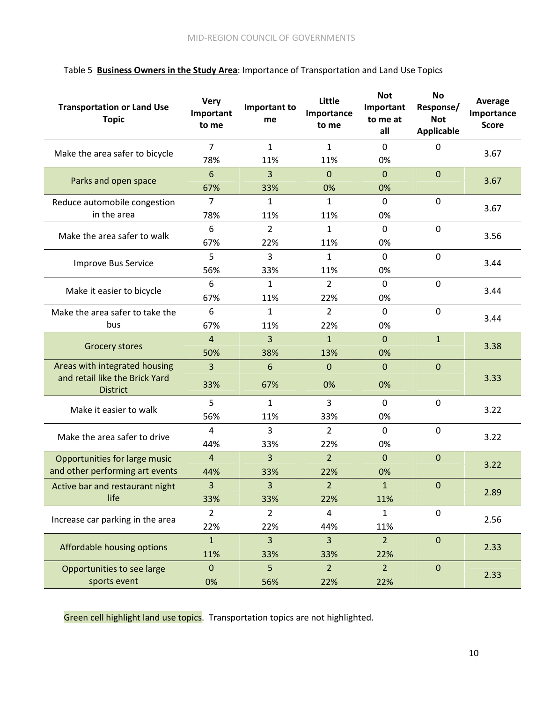|  | Table 5 Business Owners in the Study Area: Importance of Transportation and Land Use Topics |  |  |  |  |  |
|--|---------------------------------------------------------------------------------------------|--|--|--|--|--|
|--|---------------------------------------------------------------------------------------------|--|--|--|--|--|

| <b>Transportation or Land Use</b><br><b>Topic</b> | <b>Very</b><br>Important<br>to me | Important to<br>me | Little<br>Importance<br>to me | <b>Not</b><br>Important<br>to me at<br>all | <b>No</b><br>Response/<br><b>Not</b><br><b>Applicable</b> | <b>Average</b><br>Importance<br><b>Score</b> |  |
|---------------------------------------------------|-----------------------------------|--------------------|-------------------------------|--------------------------------------------|-----------------------------------------------------------|----------------------------------------------|--|
| Make the area safer to bicycle                    | $\overline{7}$                    | $\mathbf{1}$       | $\mathbf{1}$                  | $\mathbf 0$                                | $\mathbf{0}$                                              | 3.67                                         |  |
|                                                   | 78%                               | 11%                | 11%                           | 0%                                         |                                                           |                                              |  |
| Parks and open space                              | 6                                 | 3                  | $\mathbf{0}$                  | $\mathbf 0$                                | $\mathbf{0}$                                              | 3.67                                         |  |
|                                                   | 67%                               | 33%                | 0%                            | 0%                                         |                                                           |                                              |  |
| Reduce automobile congestion                      | 7                                 | 1                  | 1                             | $\mathbf{0}$                               | $\mathbf 0$                                               | 3.67                                         |  |
| in the area                                       | 78%                               | 11%                | 11%                           | 0%                                         |                                                           |                                              |  |
| Make the area safer to walk                       | 6                                 | 2                  | 1                             | $\mathbf 0$                                | $\mathbf 0$                                               | 3.56                                         |  |
|                                                   | 67%                               | 22%                | 11%                           | 0%                                         |                                                           |                                              |  |
| <b>Improve Bus Service</b>                        | 5                                 | 3                  | 1                             | $\mathbf 0$                                | $\mathbf 0$                                               |                                              |  |
|                                                   | 56%                               | 33%                | 11%                           | 0%                                         |                                                           | 3.44                                         |  |
|                                                   | 6                                 | $\mathbf{1}$       | $\overline{2}$                | $\mathbf 0$                                | $\mathbf 0$                                               | 3.44                                         |  |
| Make it easier to bicycle                         | 67%                               | 11%                | 22%                           | 0%                                         |                                                           |                                              |  |
| Make the area safer to take the                   | 6                                 | $\mathbf{1}$       | $\overline{2}$                | $\mathbf 0$                                | $\mathbf 0$                                               |                                              |  |
| bus                                               | 67%                               | 11%                | 22%                           | 0%                                         |                                                           | 3.44                                         |  |
|                                                   | $\overline{4}$                    | 3                  | $\mathbf{1}$                  | $\mathbf 0$                                | $\mathbf{1}$                                              |                                              |  |
| <b>Grocery stores</b>                             | 50%                               | 38%                | 13%                           | 0%                                         |                                                           | 3.38                                         |  |
| Areas with integrated housing                     | $\overline{3}$                    | 6                  | $\mathbf{0}$                  | $\mathbf 0$                                | $\mathbf{0}$                                              |                                              |  |
| and retail like the Brick Yard<br><b>District</b> | 33%                               | 67%                | 0%                            | 0%                                         |                                                           | 3.33                                         |  |
| Make it easier to walk                            | 5                                 | $\mathbf{1}$       | $\overline{3}$                | $\mathbf 0$                                | $\mathbf 0$                                               | 3.22                                         |  |
|                                                   | 56%                               | 11%                | 33%                           | 0%                                         |                                                           |                                              |  |
| Make the area safer to drive                      | 4                                 | 3                  | $\overline{2}$                | $\mathbf 0$                                | $\mathbf 0$                                               | 3.22                                         |  |
|                                                   | 44%                               | 33%                | 22%                           | 0%                                         |                                                           |                                              |  |
| Opportunities for large music                     | $\overline{4}$                    | 3                  | $\overline{2}$                | $\mathbf{0}$                               | $\boldsymbol{0}$                                          | 3.22                                         |  |
| and other performing art events                   | 44%                               | 33%                | 22%                           | 0%                                         |                                                           |                                              |  |
| Active bar and restaurant night                   | $\overline{3}$                    | 3                  | $\mathcal{L}$                 | $\mathbf{1}$                               | $\Omega$                                                  |                                              |  |
| life                                              | 33%                               | 33%                | 22%                           | 11%                                        |                                                           | 2.89                                         |  |
|                                                   | $\overline{2}$                    | $\overline{2}$     | $\overline{4}$                | $\mathbf{1}$                               | $\boldsymbol{0}$                                          |                                              |  |
| Increase car parking in the area                  | 22%                               | 22%                | 44%                           | 11%                                        |                                                           | 2.56                                         |  |
|                                                   | $\mathbf{1}$                      | 3                  | $\overline{3}$                | $\overline{2}$                             | $\mathbf 0$                                               |                                              |  |
| Affordable housing options                        | 11%                               | 33%                | 33%                           | 22%                                        |                                                           | 2.33                                         |  |
| Opportunities to see large                        | $\mathbf 0$                       | 5                  | $\overline{2}$                | $\overline{2}$                             | $\boldsymbol{0}$                                          |                                              |  |
| sports event                                      | 0%                                | 56%                | 22%                           | 22%                                        |                                                           | 2.33                                         |  |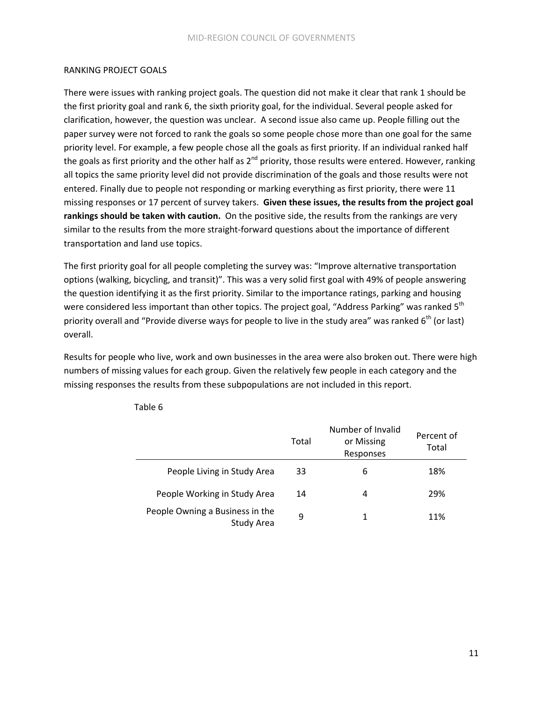#### RANKING PROJECT GOALS

There were issues with ranking project goals. The question did not make it clear that rank 1 should be the first priority goal and rank 6, the sixth priority goal, for the individual. Several people asked for clarification, however, the question was unclear. A second issue also came up. People filling out the paper survey were not forced to rank the goals so some people chose more than one goal for the same priority level. For example, a few people chose all the goals as first priority. If an individual ranked half the goals as first priority and the other half as  $2^{nd}$  priority, those results were entered. However, ranking all topics the same priority level did not provide discrimination of the goals and those results were not entered. Finally due to people not responding or marking everything as first priority, there were 11 missing responses or 17 percent of survey takers. **Given these issues, the results from the project goal rankings should be taken with caution.** On the positive side, the results from the rankings are very similar to the results from the more straight-forward questions about the importance of different transportation and land use topics.

The first priority goal for all people completing the survey was: "Improve alternative transportation options (walking, bicycling, and transit)". This was a very solid first goal with 49% of people answering the question identifying it as the first priority. Similar to the importance ratings, parking and housing were considered less important than other topics. The project goal, "Address Parking" was ranked 5<sup>th</sup> priority overall and "Provide diverse ways for people to live in the study area" was ranked  $6<sup>th</sup>$  (or last) overall.

Results for people who live, work and own businesses in the area were also broken out. There were high numbers of missing values for each group. Given the relatively few people in each category and the missing responses the results from these subpopulations are not included in this report.

|                                                      | Total | Number of Invalid<br>or Missing<br>Responses | Percent of<br>Total |
|------------------------------------------------------|-------|----------------------------------------------|---------------------|
| People Living in Study Area                          | 33    | 6                                            | 18%                 |
| People Working in Study Area                         | 14    | 4                                            | 29%                 |
| People Owning a Business in the<br><b>Study Area</b> | 9     |                                              | 11%                 |

Table 6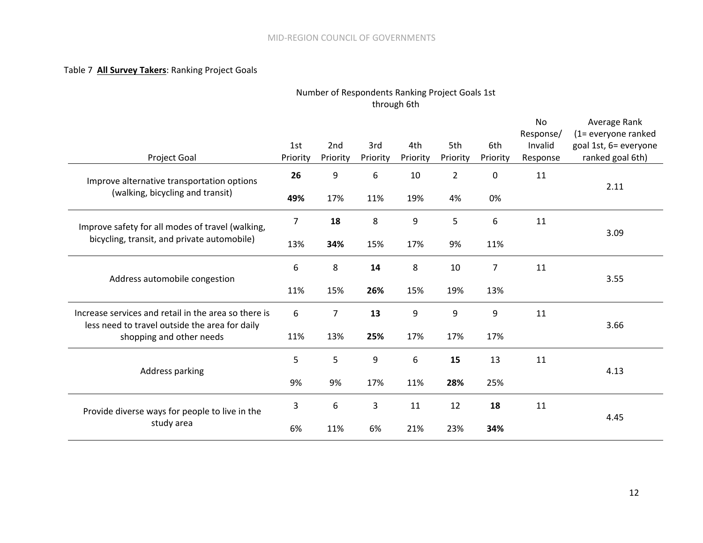#### Table 7 **All Survey Takers**: Ranking Project Goals

# Number of Respondents Ranking Project Goals 1st through 6th

| Project Goal                                                                                           | 1st<br>Priority       | 2nd<br>Priority | 3rd<br>Priority | 4th<br>Priority | 5th<br>Priority      | 6th<br>Priority   | <b>No</b><br>Response/<br>Invalid<br>Response | Average Rank<br>(1= everyone ranked<br>goal 1st, 6= everyone<br>ranked goal 6th) |  |
|--------------------------------------------------------------------------------------------------------|-----------------------|-----------------|-----------------|-----------------|----------------------|-------------------|-----------------------------------------------|----------------------------------------------------------------------------------|--|
| Improve alternative transportation options<br>(walking, bicycling and transit)                         | 26                    | 9<br>17%        | 6<br>11%        | 10<br>19%       | $\overline{2}$<br>4% | $\mathbf 0$<br>0% | 11                                            | 2.11                                                                             |  |
|                                                                                                        | 49%<br>$\overline{7}$ | 18              | 8               | 9               | 5                    | 6                 | 11                                            |                                                                                  |  |
| Improve safety for all modes of travel (walking,<br>bicycling, transit, and private automobile)        | 13%                   | 34%             | 15%             | 17%             | 9%                   | 11%               |                                               | 3.09                                                                             |  |
| Address automobile congestion                                                                          | 6                     | 8               | 14              | 8               | 10                   | 7                 | 11                                            | 3.55                                                                             |  |
|                                                                                                        | 11%                   | 15%             | 26%             | 15%             | 19%                  | 13%               |                                               |                                                                                  |  |
| Increase services and retail in the area so there is<br>less need to travel outside the area for daily | 6                     | 7               | 13              | 9               | 9                    | 9                 | 11                                            | 3.66                                                                             |  |
| shopping and other needs                                                                               | 11%                   | 13%             | 25%             | 17%             | 17%                  | 17%               |                                               |                                                                                  |  |
| Address parking                                                                                        | 5                     | 5               | 9               | 6               | 15                   | 13                | 11                                            | 4.13                                                                             |  |
|                                                                                                        | 9%                    | 9%              | 17%             | 11%             | 28%                  | 25%               |                                               |                                                                                  |  |
| Provide diverse ways for people to live in the                                                         | 3                     | 6               | 3               | 11              | 12                   | 18                | 11                                            | 4.45                                                                             |  |
| study area                                                                                             | 6%                    | 11%             | 6%              | 21%             | 23%                  | 34%               |                                               |                                                                                  |  |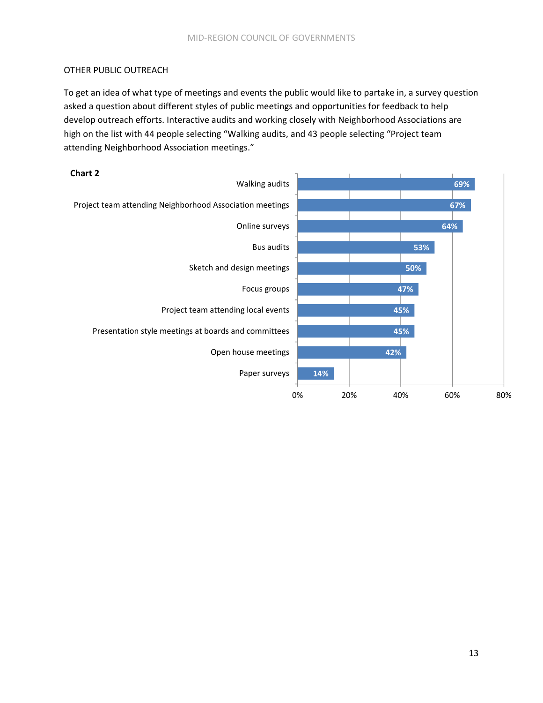# OTHER PUBLIC OUTREACH

To get an idea of what type of meetings and events the public would like to partake in, a survey question asked a question about different styles of public meetings and opportunities for feedback to help develop outreach efforts. Interactive audits and working closely with Neighborhood Associations are high on the list with 44 people selecting "Walking audits, and 43 people selecting "Project team attending Neighborhood Association meetings."

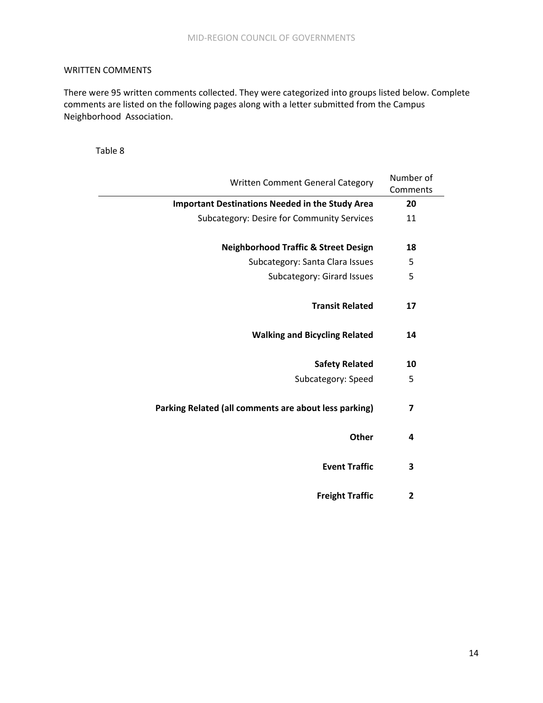# WRITTEN COMMENTS

There were 95 written comments collected. They were categorized into groups listed below. Complete comments are listed on the following pages along with a letter submitted from the Campus Neighborhood Association.

Table 8

| Number of               | Written Comment General Category                       |
|-------------------------|--------------------------------------------------------|
| Comments                |                                                        |
| 20                      | <b>Important Destinations Needed in the Study Area</b> |
| 11                      | <b>Subcategory: Desire for Community Services</b>      |
|                         |                                                        |
| 18                      | <b>Neighborhood Traffic &amp; Street Design</b>        |
| 5                       | Subcategory: Santa Clara Issues                        |
| 5                       | Subcategory: Girard Issues                             |
|                         |                                                        |
| 17                      | <b>Transit Related</b>                                 |
|                         |                                                        |
| 14                      | <b>Walking and Bicycling Related</b>                   |
|                         |                                                        |
| 10                      | <b>Safety Related</b>                                  |
| 5                       | Subcategory: Speed                                     |
|                         |                                                        |
| 7                       | Parking Related (all comments are about less parking)  |
|                         |                                                        |
| 4                       | Other                                                  |
|                         |                                                        |
| 3                       | <b>Event Traffic</b>                                   |
|                         |                                                        |
| $\overline{\mathbf{c}}$ | <b>Freight Traffic</b>                                 |
|                         |                                                        |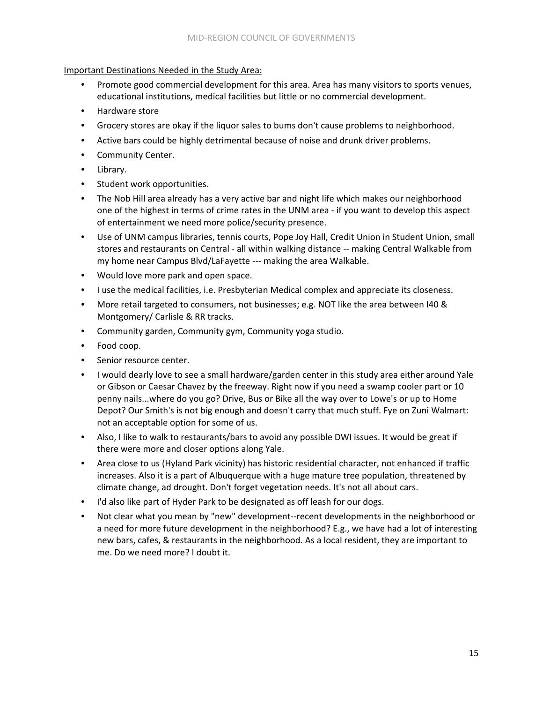Important Destinations Needed in the Study Area:

- Promote good commercial development for this area. Area has many visitors to sports venues, educational institutions, medical facilities but little or no commercial development.
- Hardware store
- Grocery stores are okay if the liquor sales to bums don't cause problems to neighborhood.
- Active bars could be highly detrimental because of noise and drunk driver problems.
- Community Center.
- Library.
- Student work opportunities.
- The Nob Hill area already has a very active bar and night life which makes our neighborhood one of the highest in terms of crime rates in the UNM area ‐ if you want to develop this aspect of entertainment we need more police/security presence.
- Use of UNM campus libraries, tennis courts, Pope Joy Hall, Credit Union in Student Union, small stores and restaurants on Central ‐ all within walking distance ‐‐ making Central Walkable from my home near Campus Blvd/LaFayette ‐‐‐ making the area Walkable.
- Would love more park and open space.
- I use the medical facilities, i.e. Presbyterian Medical complex and appreciate its closeness.
- More retail targeted to consumers, not businesses; e.g. NOT like the area between I40 & Montgomery/ Carlisle & RR tracks.
- Community garden, Community gym, Community yoga studio.
- Food coop.
- Senior resource center.
- I would dearly love to see a small hardware/garden center in this study area either around Yale or Gibson or Caesar Chavez by the freeway. Right now if you need a swamp cooler part or 10 penny nails...where do you go? Drive, Bus or Bike all the way over to Lowe's or up to Home Depot? Our Smith's is not big enough and doesn't carry that much stuff. Fye on Zuni Walmart: not an acceptable option for some of us.
- Also, I like to walk to restaurants/bars to avoid any possible DWI issues. It would be great if there were more and closer options along Yale.
- Area close to us (Hyland Park vicinity) has historic residential character, not enhanced if traffic increases. Also it is a part of Albuquerque with a huge mature tree population, threatened by climate change, ad drought. Don't forget vegetation needs. It's not all about cars.
- I'd also like part of Hyder Park to be designated as off leash for our dogs.
- Not clear what you mean by "new" development‐‐recent developments in the neighborhood or a need for more future development in the neighborhood? E.g., we have had a lot of interesting new bars, cafes, & restaurants in the neighborhood. As a local resident, they are important to me. Do we need more? I doubt it.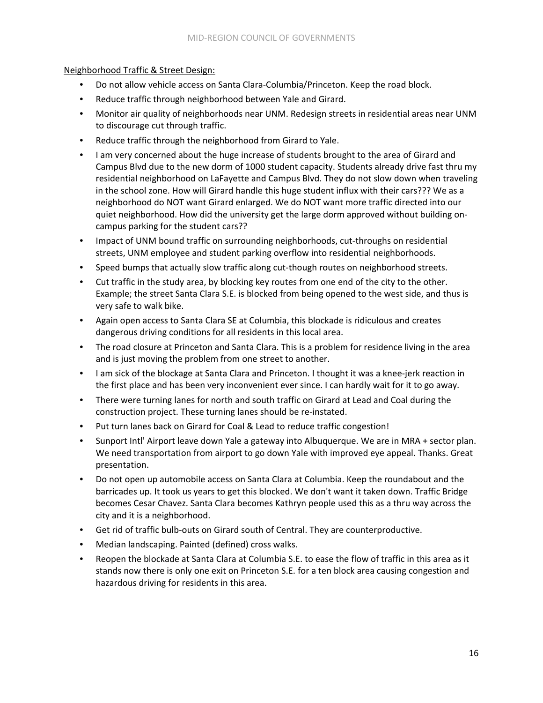## Neighborhood Traffic & Street Design:

- Do not allow vehicle access on Santa Clara‐Columbia/Princeton. Keep the road block.
- Reduce traffic through neighborhood between Yale and Girard.
- Monitor air quality of neighborhoods near UNM. Redesign streets in residential areas near UNM to discourage cut through traffic.
- Reduce traffic through the neighborhood from Girard to Yale.
- I am very concerned about the huge increase of students brought to the area of Girard and Campus Blvd due to the new dorm of 1000 student capacity. Students already drive fast thru my residential neighborhood on LaFayette and Campus Blvd. They do not slow down when traveling in the school zone. How will Girard handle this huge student influx with their cars??? We as a neighborhood do NOT want Girard enlarged. We do NOT want more traffic directed into our quiet neighborhood. How did the university get the large dorm approved without building on‐ campus parking for the student cars??
- Impact of UNM bound traffic on surrounding neighborhoods, cut-throughs on residential streets, UNM employee and student parking overflow into residential neighborhoods.
- Speed bumps that actually slow traffic along cut-though routes on neighborhood streets.
- Cut traffic in the study area, by blocking key routes from one end of the city to the other. Example; the street Santa Clara S.E. is blocked from being opened to the west side, and thus is very safe to walk bike.
- Again open access to Santa Clara SE at Columbia, this blockade is ridiculous and creates dangerous driving conditions for all residents in this local area.
- The road closure at Princeton and Santa Clara. This is a problem for residence living in the area and is just moving the problem from one street to another.
- I am sick of the blockage at Santa Clara and Princeton. I thought it was a knee-jerk reaction in the first place and has been very inconvenient ever since. I can hardly wait for it to go away.
- There were turning lanes for north and south traffic on Girard at Lead and Coal during the construction project. These turning lanes should be re‐instated.
- Put turn lanes back on Girard for Coal & Lead to reduce traffic congestion!
- Sunport Intl' Airport leave down Yale a gateway into Albuquerque. We are in MRA + sector plan. We need transportation from airport to go down Yale with improved eye appeal. Thanks. Great presentation.
- Do not open up automobile access on Santa Clara at Columbia. Keep the roundabout and the barricades up. It took us years to get this blocked. We don't want it taken down. Traffic Bridge becomes Cesar Chavez. Santa Clara becomes Kathryn people used this as a thru way across the city and it is a neighborhood.
- Get rid of traffic bulb-outs on Girard south of Central. They are counterproductive.
- Median landscaping. Painted (defined) cross walks.
- Reopen the blockade at Santa Clara at Columbia S.E. to ease the flow of traffic in this area as it stands now there is only one exit on Princeton S.E. for a ten block area causing congestion and hazardous driving for residents in this area.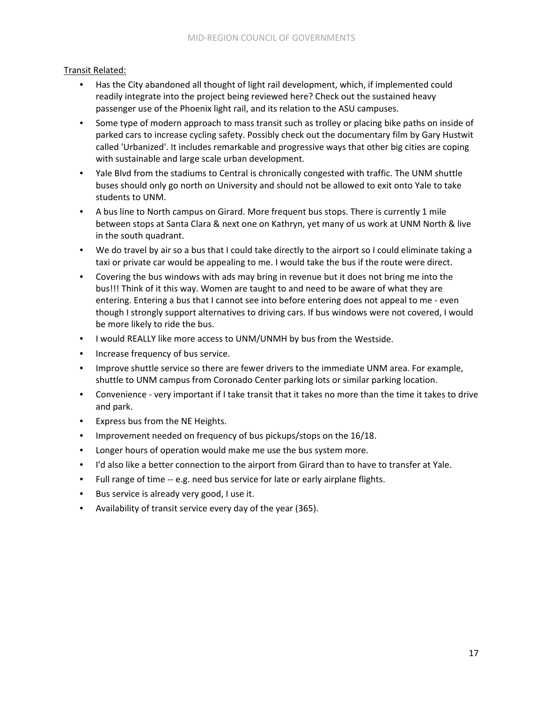# Transit Related:

- Has the City abandoned all thought of light rail development, which, if implemented could readily integrate into the project being reviewed here? Check out the sustained heavy passenger use of the Phoenix light rail, and its relation to the ASU campuses.
- Some type of modern approach to mass transit such as trolley or placing bike paths on inside of parked cars to increase cycling safety. Possibly check out the documentary film by Gary Hustwit called 'Urbanized'. It includes remarkable and progressive ways that other big cities are coping with sustainable and large scale urban development.
- Yale Blvd from the stadiums to Central is chronically congested with traffic. The UNM shuttle buses should only go north on University and should not be allowed to exit onto Yale to take students to UNM.
- A bus line to North campus on Girard. More frequent bus stops. There is currently 1 mile between stops at Santa Clara & next one on Kathryn, yet many of us work at UNM North & live in the south quadrant.
- We do travel by air so a bus that I could take directly to the airport so I could eliminate taking a taxi or private car would be appealing to me. I would take the bus if the route were direct.
- Covering the bus windows with ads may bring in revenue but it does not bring me into the bus!!! Think of it this way. Women are taught to and need to be aware of what they are entering. Entering a bus that I cannot see into before entering does not appeal to me ‐ even though I strongly support alternatives to driving cars. If bus windows were not covered, I would be more likely to ride the bus.
- I would REALLY like more access to UNM/UNMH by bus from the Westside.
- Increase frequency of bus service.
- Improve shuttle service so there are fewer drivers to the immediate UNM area. For example, shuttle to UNM campus from Coronado Center parking lots or similar parking location.
- Convenience very important if I take transit that it takes no more than the time it takes to drive and park.
- Express bus from the NE Heights.
- Improvement needed on frequency of bus pickups/stops on the 16/18.
- Longer hours of operation would make me use the bus system more.
- I'd also like a better connection to the airport from Girard than to have to transfer at Yale.
- Full range of time -- e.g. need bus service for late or early airplane flights.
- Bus service is already very good, I use it.
- Availability of transit service every day of the year (365).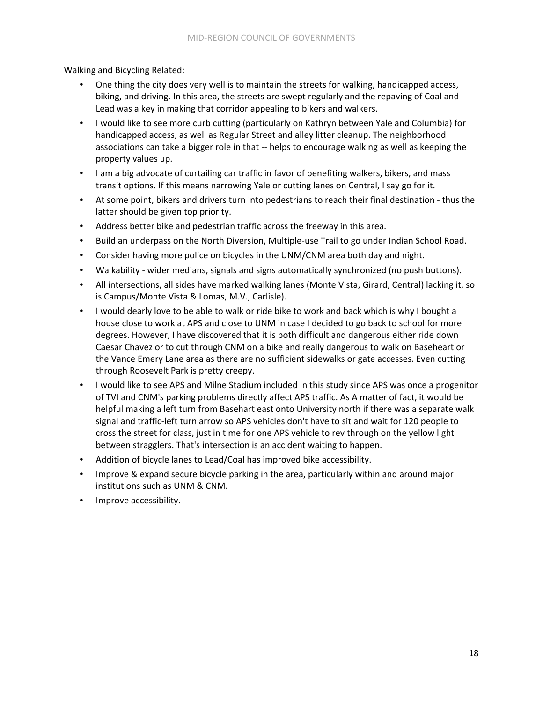## Walking and Bicycling Related:

- One thing the city does very well is to maintain the streets for walking, handicapped access, biking, and driving. In this area, the streets are swept regularly and the repaving of Coal and Lead was a key in making that corridor appealing to bikers and walkers.
- I would like to see more curb cutting (particularly on Kathryn between Yale and Columbia) for handicapped access, as well as Regular Street and alley litter cleanup. The neighborhood associations can take a bigger role in that ‐‐ helps to encourage walking as well as keeping the property values up.
- I am a big advocate of curtailing car traffic in favor of benefiting walkers, bikers, and mass transit options. If this means narrowing Yale or cutting lanes on Central, I say go for it.
- At some point, bikers and drivers turn into pedestrians to reach their final destination ‐ thus the latter should be given top priority.
- Address better bike and pedestrian traffic across the freeway in this area.
- Build an underpass on the North Diversion, Multiple-use Trail to go under Indian School Road.
- Consider having more police on bicycles in the UNM/CNM area both day and night.
- Walkability wider medians, signals and signs automatically synchronized (no push buttons).
- All intersections, all sides have marked walking lanes (Monte Vista, Girard, Central) lacking it, so is Campus/Monte Vista & Lomas, M.V., Carlisle).
- I would dearly love to be able to walk or ride bike to work and back which is why I bought a house close to work at APS and close to UNM in case I decided to go back to school for more degrees. However, I have discovered that it is both difficult and dangerous either ride down Caesar Chavez or to cut through CNM on a bike and really dangerous to walk on Baseheart or the Vance Emery Lane area as there are no sufficient sidewalks or gate accesses. Even cutting through Roosevelt Park is pretty creepy.
- I would like to see APS and Milne Stadium included in this study since APS was once a progenitor of TVI and CNM's parking problems directly affect APS traffic. As A matter of fact, it would be helpful making a left turn from Basehart east onto University north if there was a separate walk signal and traffic‐left turn arrow so APS vehicles don't have to sit and wait for 120 people to cross the street for class, just in time for one APS vehicle to rev through on the yellow light between stragglers. That's intersection is an accident waiting to happen.
- Addition of bicycle lanes to Lead/Coal has improved bike accessibility.
- Improve & expand secure bicycle parking in the area, particularly within and around major institutions such as UNM & CNM.
- Improve accessibility.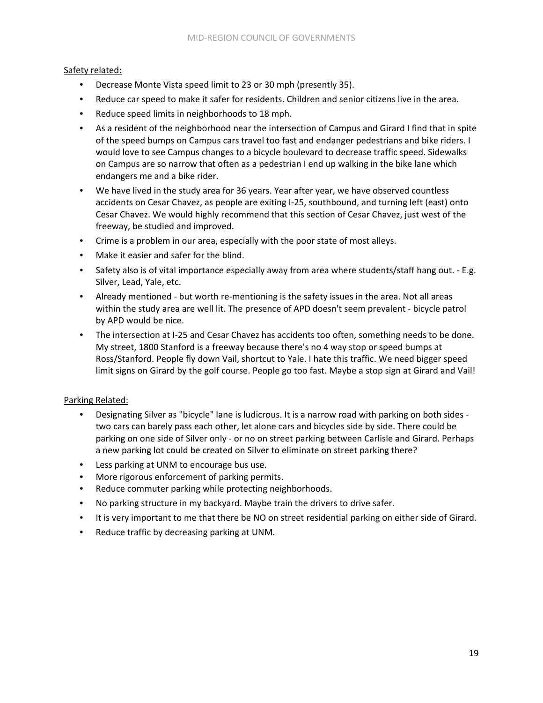## Safety related:

- Decrease Monte Vista speed limit to 23 or 30 mph (presently 35).
- Reduce car speed to make it safer for residents. Children and senior citizens live in the area.
- Reduce speed limits in neighborhoods to 18 mph.
- As a resident of the neighborhood near the intersection of Campus and Girard I find that in spite of the speed bumps on Campus cars travel too fast and endanger pedestrians and bike riders. I would love to see Campus changes to a bicycle boulevard to decrease traffic speed. Sidewalks on Campus are so narrow that often as a pedestrian I end up walking in the bike lane which endangers me and a bike rider.
- We have lived in the study area for 36 years. Year after year, we have observed countless accidents on Cesar Chavez, as people are exiting I‐25, southbound, and turning left (east) onto Cesar Chavez. We would highly recommend that this section of Cesar Chavez, just west of the freeway, be studied and improved.
- Crime is a problem in our area, especially with the poor state of most alleys.
- Make it easier and safer for the blind.
- Safety also is of vital importance especially away from area where students/staff hang out. E.g. Silver, Lead, Yale, etc.
- Already mentioned but worth re-mentioning is the safety issues in the area. Not all areas within the study area are well lit. The presence of APD doesn't seem prevalent ‐ bicycle patrol by APD would be nice.
- The intersection at I-25 and Cesar Chavez has accidents too often, something needs to be done. My street, 1800 Stanford is a freeway because there's no 4 way stop or speed bumps at Ross/Stanford. People fly down Vail, shortcut to Yale. I hate this traffic. We need bigger speed limit signs on Girard by the golf course. People go too fast. Maybe a stop sign at Girard and Vail!

#### Parking Related:

- Designating Silver as "bicycle" lane is ludicrous. It is a narrow road with parking on both sides ‐ two cars can barely pass each other, let alone cars and bicycles side by side. There could be parking on one side of Silver only - or no on street parking between Carlisle and Girard. Perhaps a new parking lot could be created on Silver to eliminate on street parking there?
- Less parking at UNM to encourage bus use.
- More rigorous enforcement of parking permits.
- Reduce commuter parking while protecting neighborhoods.
- No parking structure in my backyard. Maybe train the drivers to drive safer.
- It is very important to me that there be NO on street residential parking on either side of Girard.
- Reduce traffic by decreasing parking at UNM.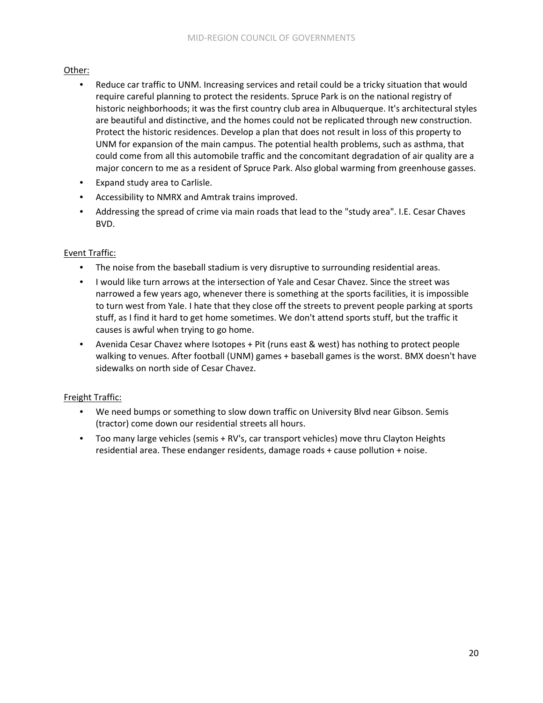## Other:

- Reduce car traffic to UNM. Increasing services and retail could be a tricky situation that would require careful planning to protect the residents. Spruce Park is on the national registry of historic neighborhoods; it was the first country club area in Albuquerque. It's architectural styles are beautiful and distinctive, and the homes could not be replicated through new construction. Protect the historic residences. Develop a plan that does not result in loss of this property to UNM for expansion of the main campus. The potential health problems, such as asthma, that could come from all this automobile traffic and the concomitant degradation of air quality are a major concern to me as a resident of Spruce Park. Also global warming from greenhouse gasses.
- Expand study area to Carlisle.
- Accessibility to NMRX and Amtrak trains improved.
- Addressing the spread of crime via main roads that lead to the "study area". I.E. Cesar Chaves BVD.

## Event Traffic:

- The noise from the baseball stadium is very disruptive to surrounding residential areas.
- I would like turn arrows at the intersection of Yale and Cesar Chavez. Since the street was narrowed a few years ago, whenever there is something at the sports facilities, it is impossible to turn west from Yale. I hate that they close off the streets to prevent people parking at sports stuff, as I find it hard to get home sometimes. We don't attend sports stuff, but the traffic it causes is awful when trying to go home.
- Avenida Cesar Chavez where Isotopes + Pit (runs east & west) has nothing to protect people walking to venues. After football (UNM) games + baseball games is the worst. BMX doesn't have sidewalks on north side of Cesar Chavez.

# Freight Traffic:

- We need bumps or something to slow down traffic on University Blvd near Gibson. Semis (tractor) come down our residential streets all hours.
- Too many large vehicles (semis + RV's, car transport vehicles) move thru Clayton Heights residential area. These endanger residents, damage roads + cause pollution + noise.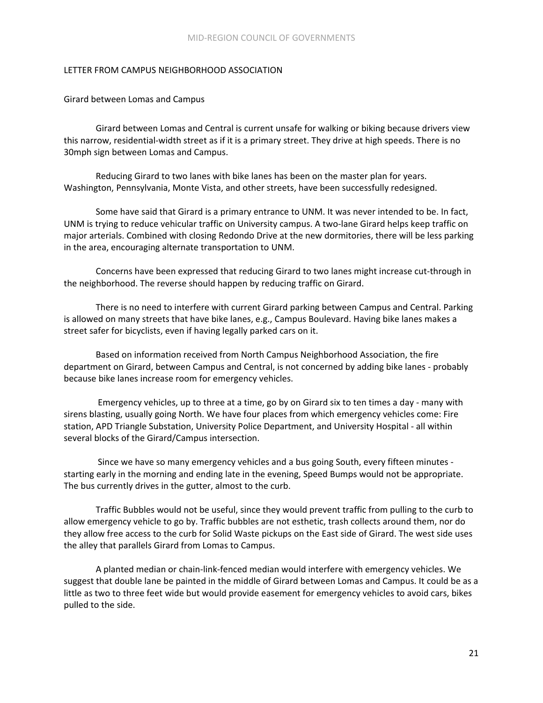#### LETTER FROM CAMPUS NEIGHBORHOOD ASSOCIATION

Girard between Lomas and Campus

Girard between Lomas and Central is current unsafe for walking or biking because drivers view this narrow, residential‐width street as if it is a primary street. They drive at high speeds. There is no 30mph sign between Lomas and Campus.

Reducing Girard to two lanes with bike lanes has been on the master plan for years. Washington, Pennsylvania, Monte Vista, and other streets, have been successfully redesigned.

Some have said that Girard is a primary entrance to UNM. It was never intended to be. In fact, UNM is trying to reduce vehicular traffic on University campus. A two‐lane Girard helps keep traffic on major arterials. Combined with closing Redondo Drive at the new dormitories, there will be less parking in the area, encouraging alternate transportation to UNM.

Concerns have been expressed that reducing Girard to two lanes might increase cut‐through in the neighborhood. The reverse should happen by reducing traffic on Girard.

There is no need to interfere with current Girard parking between Campus and Central. Parking is allowed on many streets that have bike lanes, e.g., Campus Boulevard. Having bike lanes makes a street safer for bicyclists, even if having legally parked cars on it.

Based on information received from North Campus Neighborhood Association, the fire department on Girard, between Campus and Central, is not concerned by adding bike lanes ‐ probably because bike lanes increase room for emergency vehicles.

Emergency vehicles, up to three at a time, go by on Girard six to ten times a day - many with sirens blasting, usually going North. We have four places from which emergency vehicles come: Fire station, APD Triangle Substation, University Police Department, and University Hospital ‐ all within several blocks of the Girard/Campus intersection.

Since we have so many emergency vehicles and a bus going South, every fifteen minutes ‐ starting early in the morning and ending late in the evening, Speed Bumps would not be appropriate. The bus currently drives in the gutter, almost to the curb.

Traffic Bubbles would not be useful, since they would prevent traffic from pulling to the curb to allow emergency vehicle to go by. Traffic bubbles are not esthetic, trash collects around them, nor do they allow free access to the curb for Solid Waste pickups on the East side of Girard. The west side uses the alley that parallels Girard from Lomas to Campus.

A planted median or chain‐link‐fenced median would interfere with emergency vehicles. We suggest that double lane be painted in the middle of Girard between Lomas and Campus. It could be as a little as two to three feet wide but would provide easement for emergency vehicles to avoid cars, bikes pulled to the side.